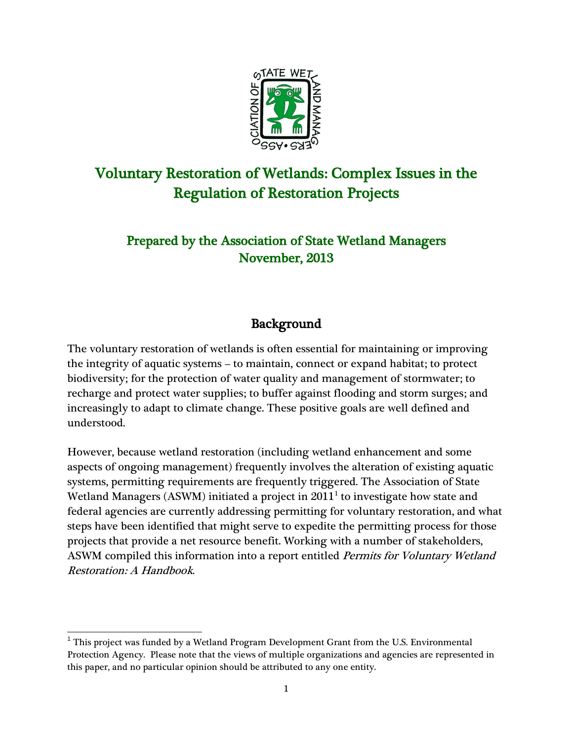

# Voluntary Restoration of Wetlands: Complex Issues in the Regulation of Restoration Projects

## Prepared by the Association of State Wetland Managers November, 2013

## Background

The voluntary restoration of wetlands is often essential for maintaining or improving the integrity of aquatic systems – to maintain, connect or expand habitat; to protect biodiversity; for the protection of water quality and management of stormwater; to recharge and protect water supplies; to buffer against flooding and storm surges; and increasingly to adapt to climate change. These positive goals are well defined and understood.

However, because wetland restoration (including wetland enhancement and some aspects of ongoing management) frequently involves the alteration of existing aquatic systems, permitting requirements are frequently triggered. The Association of State Wetland Managers (ASWM) initiated a project in  $2011<sup>1</sup>$  $2011<sup>1</sup>$  $2011<sup>1</sup>$  to investigate how state and federal agencies are currently addressing permitting for voluntary restoration, and what steps have been identified that might serve to expedite the permitting process for those projects that provide a net resource benefit. Working with a number of stakeholders, ASWM compiled this information into a report entitled Permits for Voluntary Wetland Restoration: A Handbook.

<span id="page-0-0"></span> $1$  This project was funded by a Wetland Program Development Grant from the U.S. Environmental Protection Agency. Please note that the views of multiple organizations and agencies are represented in this paper, and no particular opinion should be attributed to any one entity.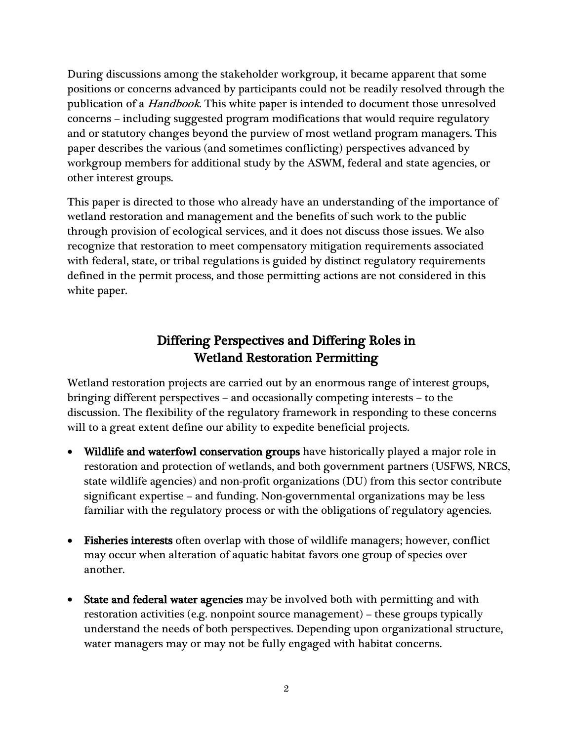During discussions among the stakeholder workgroup, it became apparent that some positions or concerns advanced by participants could not be readily resolved through the publication of a Handbook. This white paper is intended to document those unresolved concerns – including suggested program modifications that would require regulatory and or statutory changes beyond the purview of most wetland program managers. This paper describes the various (and sometimes conflicting) perspectives advanced by workgroup members for additional study by the ASWM, federal and state agencies, or other interest groups.

This paper is directed to those who already have an understanding of the importance of wetland restoration and management and the benefits of such work to the public through provision of ecological services, and it does not discuss those issues. We also recognize that restoration to meet compensatory mitigation requirements associated with federal, state, or tribal regulations is guided by distinct regulatory requirements defined in the permit process, and those permitting actions are not considered in this white paper.

## Differing Perspectives and Differing Roles in Wetland Restoration Permitting

Wetland restoration projects are carried out by an enormous range of interest groups, bringing different perspectives – and occasionally competing interests – to the discussion. The flexibility of the regulatory framework in responding to these concerns will to a great extent define our ability to expedite beneficial projects.

- Wildlife and waterfowl conservation groups have historically played a major role in restoration and protection of wetlands, and both government partners (USFWS, NRCS, state wildlife agencies) and non-profit organizations (DU) from this sector contribute significant expertise – and funding. Non-governmental organizations may be less familiar with the regulatory process or with the obligations of regulatory agencies.
- Fisheries interests often overlap with those of wildlife managers; however, conflict may occur when alteration of aquatic habitat favors one group of species over another.
- **State and federal water agencies** may be involved both with permitting and with restoration activities (e.g. nonpoint source management) – these groups typically understand the needs of both perspectives. Depending upon organizational structure, water managers may or may not be fully engaged with habitat concerns.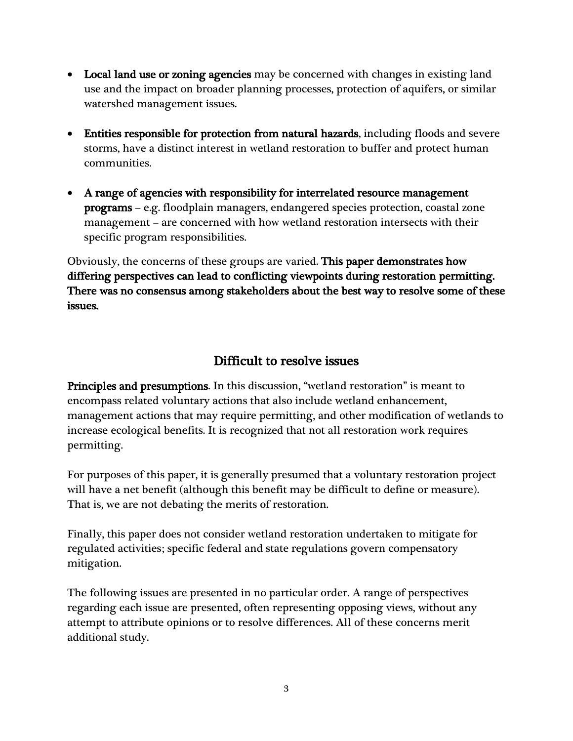- Local land use or zoning agencies may be concerned with changes in existing land use and the impact on broader planning processes, protection of aquifers, or similar watershed management issues.
- Entities responsible for protection from natural hazards, including floods and severe storms, have a distinct interest in wetland restoration to buffer and protect human communities.
- A range of agencies with responsibility for interrelated resource management programs – e.g. floodplain managers, endangered species protection, coastal zone management – are concerned with how wetland restoration intersects with their specific program responsibilities.

Obviously, the concerns of these groups are varied. This paper demonstrates how differing perspectives can lead to conflicting viewpoints during restoration permitting. There was no consensus among stakeholders about the best way to resolve some of these issues.

### Difficult to resolve issues

Principles and presumptions. In this discussion, "wetland restoration" is meant to encompass related voluntary actions that also include wetland enhancement, management actions that may require permitting, and other modification of wetlands to increase ecological benefits. It is recognized that not all restoration work requires permitting.

For purposes of this paper, it is generally presumed that a voluntary restoration project will have a net benefit (although this benefit may be difficult to define or measure). That is, we are not debating the merits of restoration.

Finally, this paper does not consider wetland restoration undertaken to mitigate for regulated activities; specific federal and state regulations govern compensatory mitigation.

The following issues are presented in no particular order. A range of perspectives regarding each issue are presented, often representing opposing views, without any attempt to attribute opinions or to resolve differences. All of these concerns merit additional study.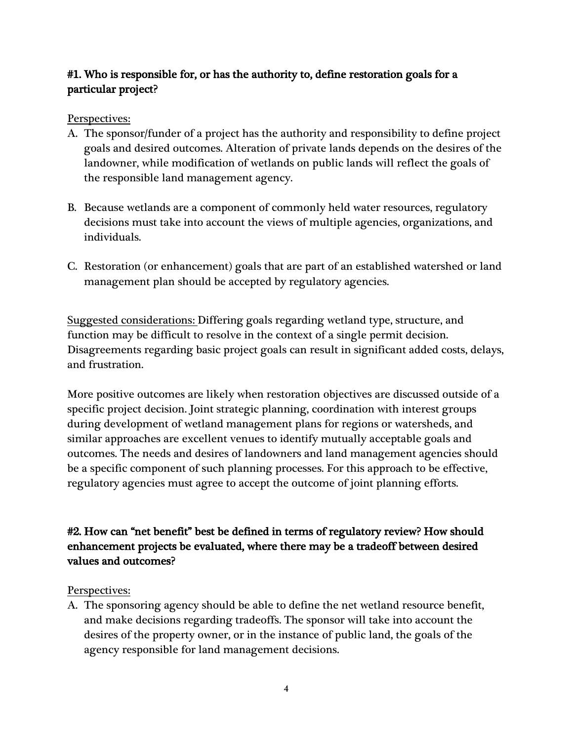### #1. Who is responsible for, or has the authority to, define restoration goals for a particular project?

#### Perspectives:

- A. The sponsor/funder of a project has the authority and responsibility to define project goals and desired outcomes. Alteration of private lands depends on the desires of the landowner, while modification of wetlands on public lands will reflect the goals of the responsible land management agency.
- B. Because wetlands are a component of commonly held water resources, regulatory decisions must take into account the views of multiple agencies, organizations, and individuals.
- C. Restoration (or enhancement) goals that are part of an established watershed or land management plan should be accepted by regulatory agencies.

Suggested considerations: Differing goals regarding wetland type, structure, and function may be difficult to resolve in the context of a single permit decision. Disagreements regarding basic project goals can result in significant added costs, delays, and frustration.

More positive outcomes are likely when restoration objectives are discussed outside of a specific project decision. Joint strategic planning, coordination with interest groups during development of wetland management plans for regions or watersheds, and similar approaches are excellent venues to identify mutually acceptable goals and outcomes. The needs and desires of landowners and land management agencies should be a specific component of such planning processes. For this approach to be effective, regulatory agencies must agree to accept the outcome of joint planning efforts.

#### #2. How can "net benefit" best be defined in terms of regulatory review? How should enhancement projects be evaluated, where there may be a tradeoff between desired values and outcomes?

#### Perspectives:

A. The sponsoring agency should be able to define the net wetland resource benefit, and make decisions regarding tradeoffs. The sponsor will take into account the desires of the property owner, or in the instance of public land, the goals of the agency responsible for land management decisions.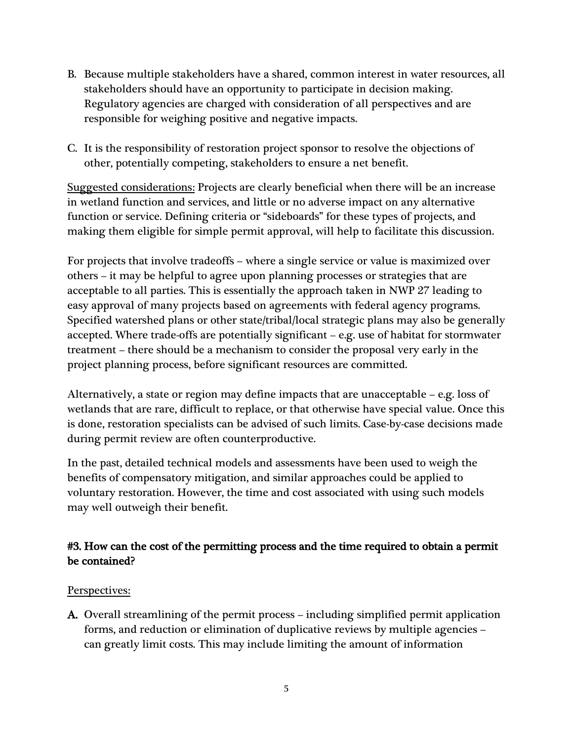- B. Because multiple stakeholders have a shared, common interest in water resources, all stakeholders should have an opportunity to participate in decision making. Regulatory agencies are charged with consideration of all perspectives and are responsible for weighing positive and negative impacts.
- C. It is the responsibility of restoration project sponsor to resolve the objections of other, potentially competing, stakeholders to ensure a net benefit.

Suggested considerations: Projects are clearly beneficial when there will be an increase in wetland function and services, and little or no adverse impact on any alternative function or service. Defining criteria or "sideboards" for these types of projects, and making them eligible for simple permit approval, will help to facilitate this discussion.

For projects that involve tradeoffs – where a single service or value is maximized over others – it may be helpful to agree upon planning processes or strategies that are acceptable to all parties. This is essentially the approach taken in NWP 27 leading to easy approval of many projects based on agreements with federal agency programs. Specified watershed plans or other state/tribal/local strategic plans may also be generally accepted. Where trade-offs are potentially significant – e.g. use of habitat for stormwater treatment – there should be a mechanism to consider the proposal very early in the project planning process, before significant resources are committed.

Alternatively, a state or region may define impacts that are unacceptable – e.g. loss of wetlands that are rare, difficult to replace, or that otherwise have special value. Once this is done, restoration specialists can be advised of such limits. Case-by-case decisions made during permit review are often counterproductive.

In the past, detailed technical models and assessments have been used to weigh the benefits of compensatory mitigation, and similar approaches could be applied to voluntary restoration. However, the time and cost associated with using such models may well outweigh their benefit.

### #3. How can the cost of the permitting process and the time required to obtain a permit be contained?

#### Perspectives:

A. Overall streamlining of the permit process – including simplified permit application forms, and reduction or elimination of duplicative reviews by multiple agencies – can greatly limit costs. This may include limiting the amount of information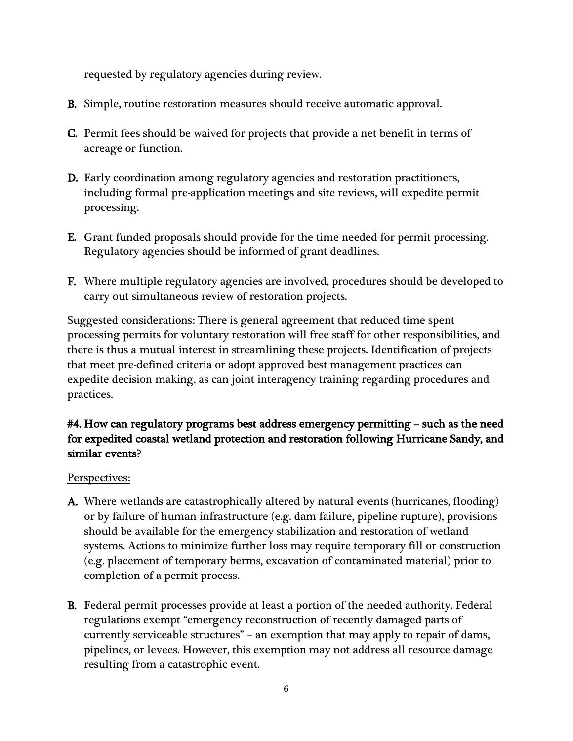requested by regulatory agencies during review.

- B. Simple, routine restoration measures should receive automatic approval.
- C. Permit fees should be waived for projects that provide a net benefit in terms of acreage or function.
- D. Early coordination among regulatory agencies and restoration practitioners, including formal pre-application meetings and site reviews, will expedite permit processing.
- E. Grant funded proposals should provide for the time needed for permit processing. Regulatory agencies should be informed of grant deadlines.
- F. Where multiple regulatory agencies are involved, procedures should be developed to carry out simultaneous review of restoration projects.

Suggested considerations: There is general agreement that reduced time spent processing permits for voluntary restoration will free staff for other responsibilities, and there is thus a mutual interest in streamlining these projects. Identification of projects that meet pre-defined criteria or adopt approved best management practices can expedite decision making, as can joint interagency training regarding procedures and practices.

### #4. How can regulatory programs best address emergency permitting – such as the need for expedited coastal wetland protection and restoration following Hurricane Sandy, and similar events?

- A. Where wetlands are catastrophically altered by natural events (hurricanes, flooding) or by failure of human infrastructure (e.g. dam failure, pipeline rupture), provisions should be available for the emergency stabilization and restoration of wetland systems. Actions to minimize further loss may require temporary fill or construction (e.g. placement of temporary berms, excavation of contaminated material) prior to completion of a permit process.
- B. Federal permit processes provide at least a portion of the needed authority. Federal regulations exempt "emergency reconstruction of recently damaged parts of currently serviceable structures" – an exemption that may apply to repair of dams, pipelines, or levees. However, this exemption may not address all resource damage resulting from a catastrophic event.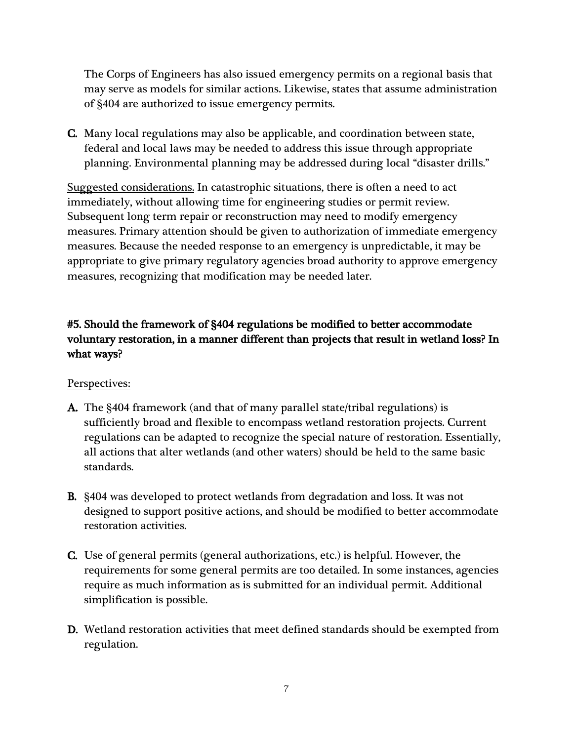The Corps of Engineers has also issued emergency permits on a regional basis that may serve as models for similar actions. Likewise, states that assume administration of §404 are authorized to issue emergency permits.

C. Many local regulations may also be applicable, and coordination between state, federal and local laws may be needed to address this issue through appropriate planning. Environmental planning may be addressed during local "disaster drills."

Suggested considerations. In catastrophic situations, there is often a need to act immediately, without allowing time for engineering studies or permit review. Subsequent long term repair or reconstruction may need to modify emergency measures. Primary attention should be given to authorization of immediate emergency measures. Because the needed response to an emergency is unpredictable, it may be appropriate to give primary regulatory agencies broad authority to approve emergency measures, recognizing that modification may be needed later.

### #5. Should the framework of §404 regulations be modified to better accommodate voluntary restoration, in a manner different than projects that result in wetland loss? In what ways?

- A. The §404 framework (and that of many parallel state/tribal regulations) is sufficiently broad and flexible to encompass wetland restoration projects. Current regulations can be adapted to recognize the special nature of restoration. Essentially, all actions that alter wetlands (and other waters) should be held to the same basic standards.
- B. §404 was developed to protect wetlands from degradation and loss. It was not designed to support positive actions, and should be modified to better accommodate restoration activities.
- C. Use of general permits (general authorizations, etc.) is helpful. However, the requirements for some general permits are too detailed. In some instances, agencies require as much information as is submitted for an individual permit. Additional simplification is possible.
- D. Wetland restoration activities that meet defined standards should be exempted from regulation.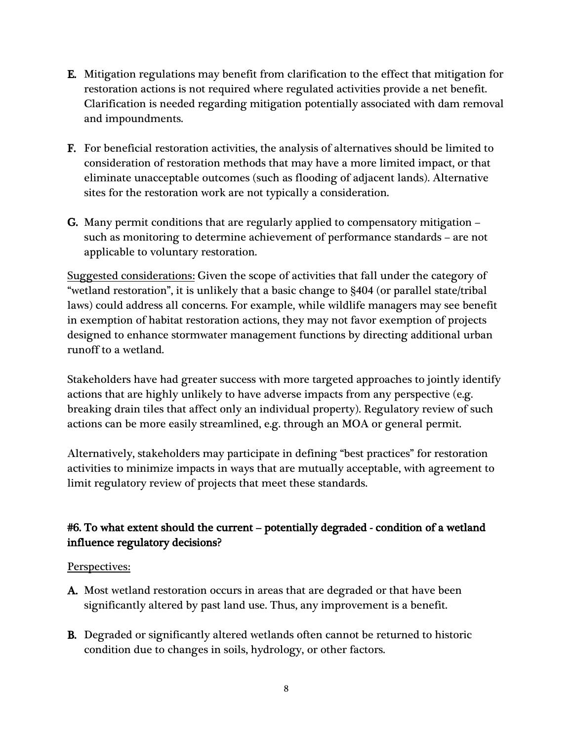- E. Mitigation regulations may benefit from clarification to the effect that mitigation for restoration actions is not required where regulated activities provide a net benefit. Clarification is needed regarding mitigation potentially associated with dam removal and impoundments.
- F. For beneficial restoration activities, the analysis of alternatives should be limited to consideration of restoration methods that may have a more limited impact, or that eliminate unacceptable outcomes (such as flooding of adjacent lands). Alternative sites for the restoration work are not typically a consideration.
- G. Many permit conditions that are regularly applied to compensatory mitigation such as monitoring to determine achievement of performance standards – are not applicable to voluntary restoration.

Suggested considerations: Given the scope of activities that fall under the category of "wetland restoration", it is unlikely that a basic change to §404 (or parallel state/tribal laws) could address all concerns. For example, while wildlife managers may see benefit in exemption of habitat restoration actions, they may not favor exemption of projects designed to enhance stormwater management functions by directing additional urban runoff to a wetland.

Stakeholders have had greater success with more targeted approaches to jointly identify actions that are highly unlikely to have adverse impacts from any perspective (e.g. breaking drain tiles that affect only an individual property). Regulatory review of such actions can be more easily streamlined, e.g. through an MOA or general permit.

Alternatively, stakeholders may participate in defining "best practices" for restoration activities to minimize impacts in ways that are mutually acceptable, with agreement to limit regulatory review of projects that meet these standards.

### #6. To what extent should the current – potentially degraded - condition of a wetland influence regulatory decisions?

- A. Most wetland restoration occurs in areas that are degraded or that have been significantly altered by past land use. Thus, any improvement is a benefit.
- B. Degraded or significantly altered wetlands often cannot be returned to historic condition due to changes in soils, hydrology, or other factors.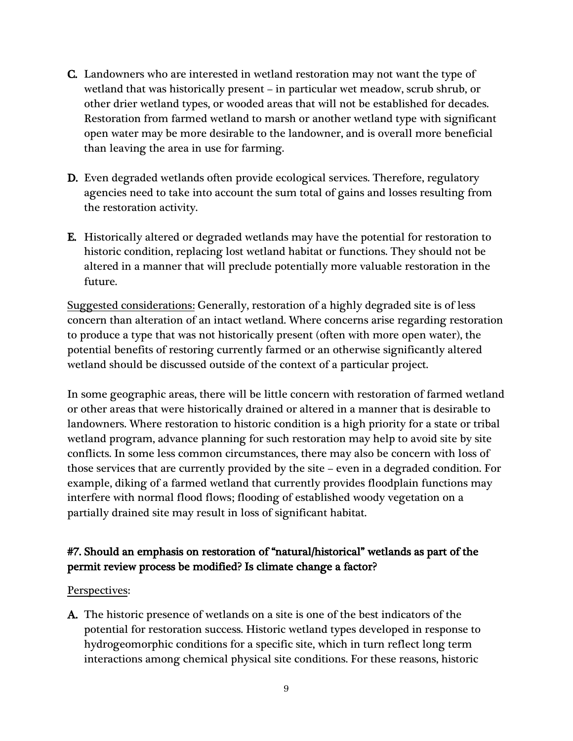- C. Landowners who are interested in wetland restoration may not want the type of wetland that was historically present – in particular wet meadow, scrub shrub, or other drier wetland types, or wooded areas that will not be established for decades. Restoration from farmed wetland to marsh or another wetland type with significant open water may be more desirable to the landowner, and is overall more beneficial than leaving the area in use for farming.
- D. Even degraded wetlands often provide ecological services. Therefore, regulatory agencies need to take into account the sum total of gains and losses resulting from the restoration activity.
- E. Historically altered or degraded wetlands may have the potential for restoration to historic condition, replacing lost wetland habitat or functions. They should not be altered in a manner that will preclude potentially more valuable restoration in the future.

Suggested considerations: Generally, restoration of a highly degraded site is of less concern than alteration of an intact wetland. Where concerns arise regarding restoration to produce a type that was not historically present (often with more open water), the potential benefits of restoring currently farmed or an otherwise significantly altered wetland should be discussed outside of the context of a particular project.

In some geographic areas, there will be little concern with restoration of farmed wetland or other areas that were historically drained or altered in a manner that is desirable to landowners. Where restoration to historic condition is a high priority for a state or tribal wetland program, advance planning for such restoration may help to avoid site by site conflicts. In some less common circumstances, there may also be concern with loss of those services that are currently provided by the site – even in a degraded condition. For example, diking of a farmed wetland that currently provides floodplain functions may interfere with normal flood flows; flooding of established woody vegetation on a partially drained site may result in loss of significant habitat.

### #7. Should an emphasis on restoration of "natural/historical" wetlands as part of the permit review process be modified? Is climate change a factor?

#### Perspectives:

A. The historic presence of wetlands on a site is one of the best indicators of the potential for restoration success. Historic wetland types developed in response to hydrogeomorphic conditions for a specific site, which in turn reflect long term interactions among chemical physical site conditions. For these reasons, historic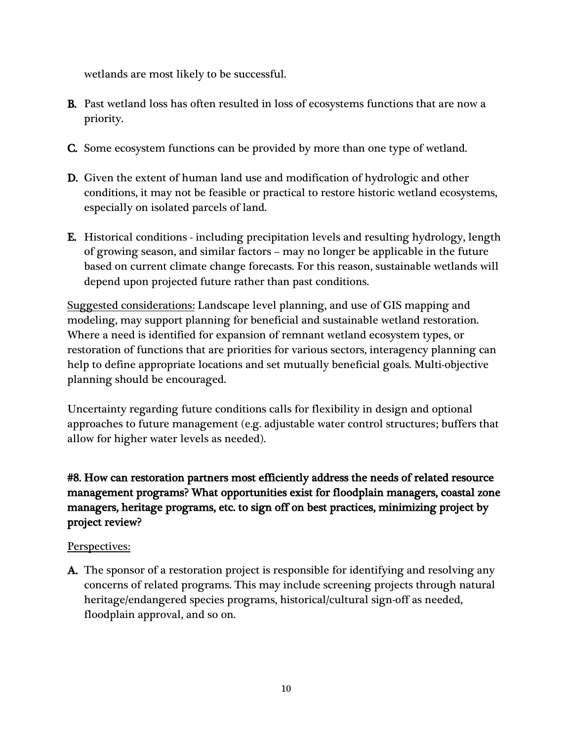wetlands are most likely to be successful.

- B. Past wetland loss has often resulted in loss of ecosystems functions that are now a priority.
- C. Some ecosystem functions can be provided by more than one type of wetland.
- D. Given the extent of human land use and modification of hydrologic and other conditions, it may not be feasible or practical to restore historic wetland ecosystems, especially on isolated parcels of land.
- E. Historical conditions including precipitation levels and resulting hydrology, length of growing season, and similar factors – may no longer be applicable in the future based on current climate change forecasts. For this reason, sustainable wetlands will depend upon projected future rather than past conditions.

Suggested considerations: Landscape level planning, and use of GIS mapping and modeling, may support planning for beneficial and sustainable wetland restoration. Where a need is identified for expansion of remnant wetland ecosystem types, or restoration of functions that are priorities for various sectors, interagency planning can help to define appropriate locations and set mutually beneficial goals. Multi-objective planning should be encouraged.

Uncertainty regarding future conditions calls for flexibility in design and optional approaches to future management (e.g. adjustable water control structures; buffers that allow for higher water levels as needed).

### #8. How can restoration partners most efficiently address the needs of related resource management programs? What opportunities exist for floodplain managers, coastal zone managers, heritage programs, etc. to sign off on best practices, minimizing project by project review?

#### Perspectives:

A. The sponsor of a restoration project is responsible for identifying and resolving any concerns of related programs. This may include screening projects through natural heritage/endangered species programs, historical/cultural sign-off as needed, floodplain approval, and so on.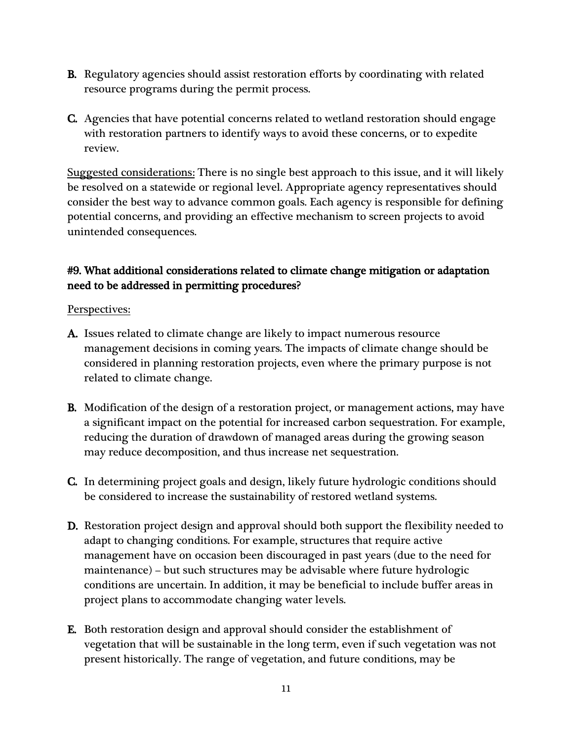- B. Regulatory agencies should assist restoration efforts by coordinating with related resource programs during the permit process.
- C. Agencies that have potential concerns related to wetland restoration should engage with restoration partners to identify ways to avoid these concerns, or to expedite review.

Suggested considerations: There is no single best approach to this issue, and it will likely be resolved on a statewide or regional level. Appropriate agency representatives should consider the best way to advance common goals. Each agency is responsible for defining potential concerns, and providing an effective mechanism to screen projects to avoid unintended consequences.

### #9. What additional considerations related to climate change mitigation or adaptation need to be addressed in permitting procedures?

- A. Issues related to climate change are likely to impact numerous resource management decisions in coming years. The impacts of climate change should be considered in planning restoration projects, even where the primary purpose is not related to climate change.
- B. Modification of the design of a restoration project, or management actions, may have a significant impact on the potential for increased carbon sequestration. For example, reducing the duration of drawdown of managed areas during the growing season may reduce decomposition, and thus increase net sequestration.
- C. In determining project goals and design, likely future hydrologic conditions should be considered to increase the sustainability of restored wetland systems.
- D. Restoration project design and approval should both support the flexibility needed to adapt to changing conditions. For example, structures that require active management have on occasion been discouraged in past years (due to the need for maintenance) – but such structures may be advisable where future hydrologic conditions are uncertain. In addition, it may be beneficial to include buffer areas in project plans to accommodate changing water levels.
- E. Both restoration design and approval should consider the establishment of vegetation that will be sustainable in the long term, even if such vegetation was not present historically. The range of vegetation, and future conditions, may be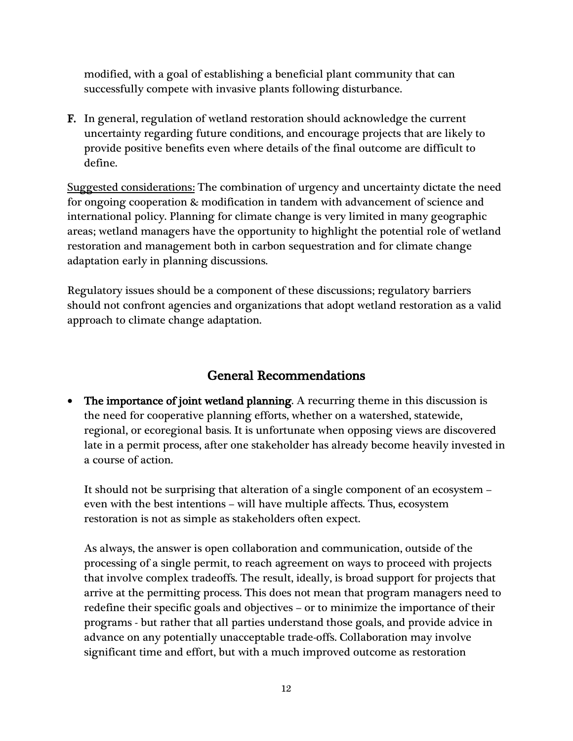modified, with a goal of establishing a beneficial plant community that can successfully compete with invasive plants following disturbance.

F. In general, regulation of wetland restoration should acknowledge the current uncertainty regarding future conditions, and encourage projects that are likely to provide positive benefits even where details of the final outcome are difficult to define.

Suggested considerations: The combination of urgency and uncertainty dictate the need for ongoing cooperation & modification in tandem with advancement of science and international policy. Planning for climate change is very limited in many geographic areas; wetland managers have the opportunity to highlight the potential role of wetland restoration and management both in carbon sequestration and for climate change adaptation early in planning discussions.

Regulatory issues should be a component of these discussions; regulatory barriers should not confront agencies and organizations that adopt wetland restoration as a valid approach to climate change adaptation.

## General Recommendations

• The importance of joint wetland planning. A recurring theme in this discussion is the need for cooperative planning efforts, whether on a watershed, statewide, regional, or ecoregional basis. It is unfortunate when opposing views are discovered late in a permit process, after one stakeholder has already become heavily invested in a course of action.

It should not be surprising that alteration of a single component of an ecosystem – even with the best intentions – will have multiple affects. Thus, ecosystem restoration is not as simple as stakeholders often expect.

As always, the answer is open collaboration and communication, outside of the processing of a single permit, to reach agreement on ways to proceed with projects that involve complex tradeoffs. The result, ideally, is broad support for projects that arrive at the permitting process. This does not mean that program managers need to redefine their specific goals and objectives – or to minimize the importance of their programs - but rather that all parties understand those goals, and provide advice in advance on any potentially unacceptable trade-offs. Collaboration may involve significant time and effort, but with a much improved outcome as restoration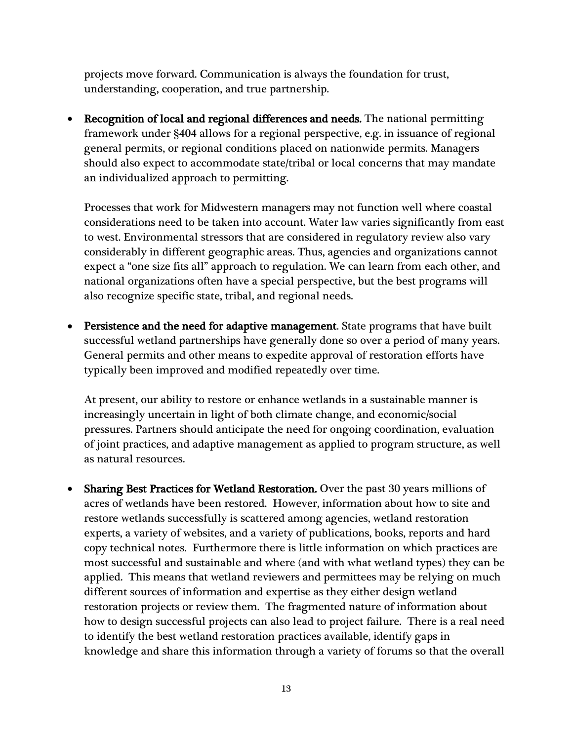projects move forward. Communication is always the foundation for trust, understanding, cooperation, and true partnership.

• Recognition of local and regional differences and needs. The national permitting framework under §404 allows for a regional perspective, e.g. in issuance of regional general permits, or regional conditions placed on nationwide permits. Managers should also expect to accommodate state/tribal or local concerns that may mandate an individualized approach to permitting.

Processes that work for Midwestern managers may not function well where coastal considerations need to be taken into account. Water law varies significantly from east to west. Environmental stressors that are considered in regulatory review also vary considerably in different geographic areas. Thus, agencies and organizations cannot expect a "one size fits all" approach to regulation. We can learn from each other, and national organizations often have a special perspective, but the best programs will also recognize specific state, tribal, and regional needs.

• Persistence and the need for adaptive management. State programs that have built successful wetland partnerships have generally done so over a period of many years. General permits and other means to expedite approval of restoration efforts have typically been improved and modified repeatedly over time.

At present, our ability to restore or enhance wetlands in a sustainable manner is increasingly uncertain in light of both climate change, and economic/social pressures. Partners should anticipate the need for ongoing coordination, evaluation of joint practices, and adaptive management as applied to program structure, as well as natural resources.

• Sharing Best Practices for Wetland Restoration. Over the past 30 years millions of acres of wetlands have been restored. However, information about how to site and restore wetlands successfully is scattered among agencies, wetland restoration experts, a variety of websites, and a variety of publications, books, reports and hard copy technical notes. Furthermore there is little information on which practices are most successful and sustainable and where (and with what wetland types) they can be applied. This means that wetland reviewers and permittees may be relying on much different sources of information and expertise as they either design wetland restoration projects or review them. The fragmented nature of information about how to design successful projects can also lead to project failure. There is a real need to identify the best wetland restoration practices available, identify gaps in knowledge and share this information through a variety of forums so that the overall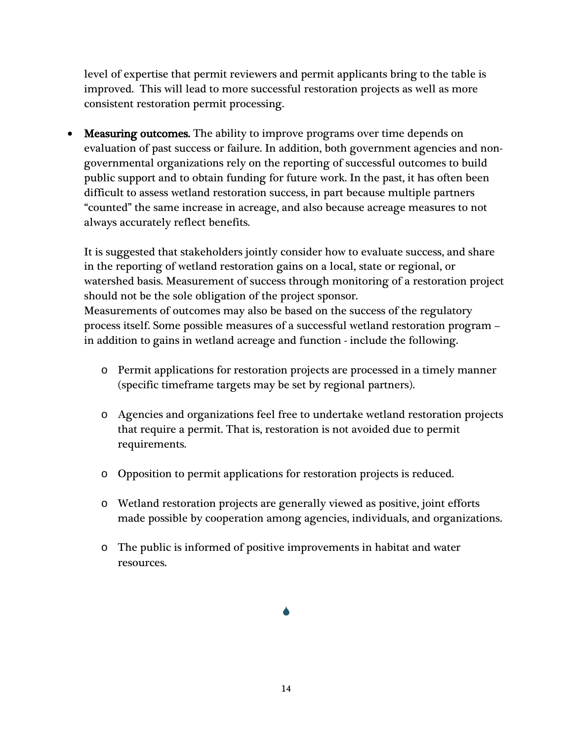level of expertise that permit reviewers and permit applicants bring to the table is improved. This will lead to more successful restoration projects as well as more consistent restoration permit processing.

• Measuring outcomes. The ability to improve programs over time depends on evaluation of past success or failure. In addition, both government agencies and nongovernmental organizations rely on the reporting of successful outcomes to build public support and to obtain funding for future work. In the past, it has often been difficult to assess wetland restoration success, in part because multiple partners "counted" the same increase in acreage, and also because acreage measures to not always accurately reflect benefits.

It is suggested that stakeholders jointly consider how to evaluate success, and share in the reporting of wetland restoration gains on a local, state or regional, or watershed basis. Measurement of success through monitoring of a restoration project should not be the sole obligation of the project sponsor. Measurements of outcomes may also be based on the success of the regulatory process itself. Some possible measures of a successful wetland restoration program – in addition to gains in wetland acreage and function - include the following.

- o Permit applications for restoration projects are processed in a timely manner (specific timeframe targets may be set by regional partners).
- o Agencies and organizations feel free to undertake wetland restoration projects that require a permit. That is, restoration is not avoided due to permit requirements.
- o Opposition to permit applications for restoration projects is reduced.
- o Wetland restoration projects are generally viewed as positive, joint efforts made possible by cooperation among agencies, individuals, and organizations.
- o The public is informed of positive improvements in habitat and water resources.

 $\blacklozenge$